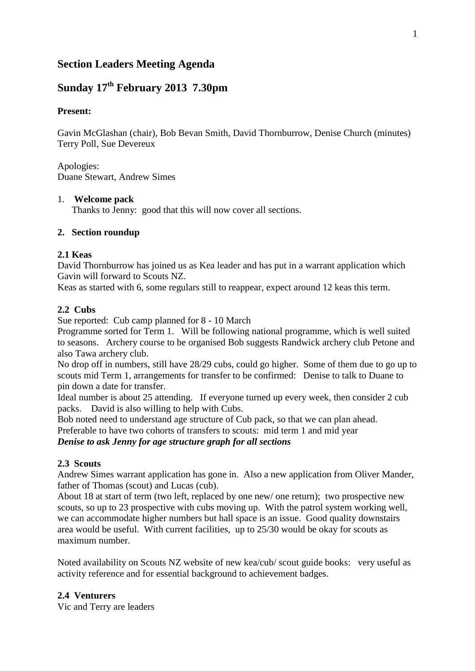# **Section Leaders Meeting Agenda**

# **Sunday 17th February 2013 7.30pm**

### **Present:**

Gavin McGlashan (chair), Bob Bevan Smith, David Thornburrow, Denise Church (minutes) Terry Poll, Sue Devereux

Apologies: Duane Stewart, Andrew Simes

#### 1. **Welcome pack**

Thanks to Jenny: good that this will now cover all sections.

#### **2. Section roundup**

#### **2.1 Keas**

David Thornburrow has joined us as Kea leader and has put in a warrant application which Gavin will forward to Scouts NZ.

Keas as started with 6, some regulars still to reappear, expect around 12 keas this term.

### **2.2 Cubs**

Sue reported: Cub camp planned for 8 - 10 March

Programme sorted for Term 1. Will be following national programme, which is well suited to seasons. Archery course to be organised Bob suggests Randwick archery club Petone and also Tawa archery club.

No drop off in numbers, still have 28/29 cubs, could go higher. Some of them due to go up to scouts mid Term 1, arrangements for transfer to be confirmed: Denise to talk to Duane to pin down a date for transfer.

Ideal number is about 25 attending. If everyone turned up every week, then consider 2 cub packs. David is also willing to help with Cubs.

Bob noted need to understand age structure of Cub pack, so that we can plan ahead.

Preferable to have two cohorts of transfers to scouts: mid term 1 and mid year

*Denise to ask Jenny for age structure graph for all sections*

#### **2.3 Scouts**

Andrew Simes warrant application has gone in. Also a new application from Oliver Mander, father of Thomas (scout) and Lucas (cub).

About 18 at start of term (two left, replaced by one new/ one return); two prospective new scouts, so up to 23 prospective with cubs moving up. With the patrol system working well, we can accommodate higher numbers but hall space is an issue. Good quality downstairs area would be useful. With current facilities, up to 25/30 would be okay for scouts as maximum number.

Noted availability on Scouts NZ website of new kea/cub/ scout guide books: very useful as activity reference and for essential background to achievement badges.

#### **2.4 Venturers**

Vic and Terry are leaders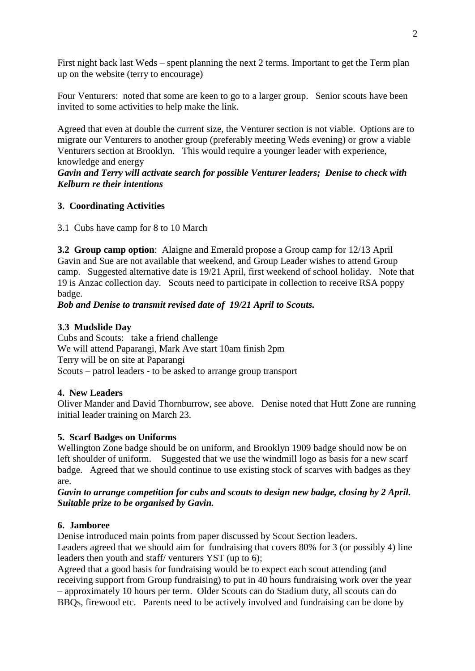First night back last Weds – spent planning the next 2 terms. Important to get the Term plan up on the website (terry to encourage)

Four Venturers: noted that some are keen to go to a larger group. Senior scouts have been invited to some activities to help make the link.

Agreed that even at double the current size, the Venturer section is not viable. Options are to migrate our Venturers to another group (preferably meeting Weds evening) or grow a viable Venturers section at Brooklyn. This would require a younger leader with experience, knowledge and energy

*Gavin and Terry will activate search for possible Venturer leaders; Denise to check with Kelburn re their intentions*

# **3. Coordinating Activities**

3.1 Cubs have camp for 8 to 10 March

**3.2 Group camp option**: Alaigne and Emerald propose a Group camp for 12/13 April Gavin and Sue are not available that weekend, and Group Leader wishes to attend Group camp. Suggested alternative date is 19/21 April, first weekend of school holiday. Note that 19 is Anzac collection day. Scouts need to participate in collection to receive RSA poppy badge.

*Bob and Denise to transmit revised date of 19/21 April to Scouts.*

# **3.3 Mudslide Day**

Cubs and Scouts: take a friend challenge We will attend Paparangi, Mark Ave start 10am finish 2pm Terry will be on site at Paparangi Scouts – patrol leaders - to be asked to arrange group transport

# **4. New Leaders**

Oliver Mander and David Thornburrow, see above. Denise noted that Hutt Zone are running initial leader training on March 23.

# **5. Scarf Badges on Uniforms**

Wellington Zone badge should be on uniform, and Brooklyn 1909 badge should now be on left shoulder of uniform. Suggested that we use the windmill logo as basis for a new scarf badge. Agreed that we should continue to use existing stock of scarves with badges as they are.

### *Gavin to arrange competition for cubs and scouts to design new badge, closing by 2 April. Suitable prize to be organised by Gavin.*

# **6. Jamboree**

Denise introduced main points from paper discussed by Scout Section leaders.

Leaders agreed that we should aim for fundraising that covers 80% for 3 (or possibly 4) line leaders then youth and staff/ venturers YST (up to 6);

Agreed that a good basis for fundraising would be to expect each scout attending (and receiving support from Group fundraising) to put in 40 hours fundraising work over the year – approximately 10 hours per term. Older Scouts can do Stadium duty, all scouts can do BBQs, firewood etc. Parents need to be actively involved and fundraising can be done by